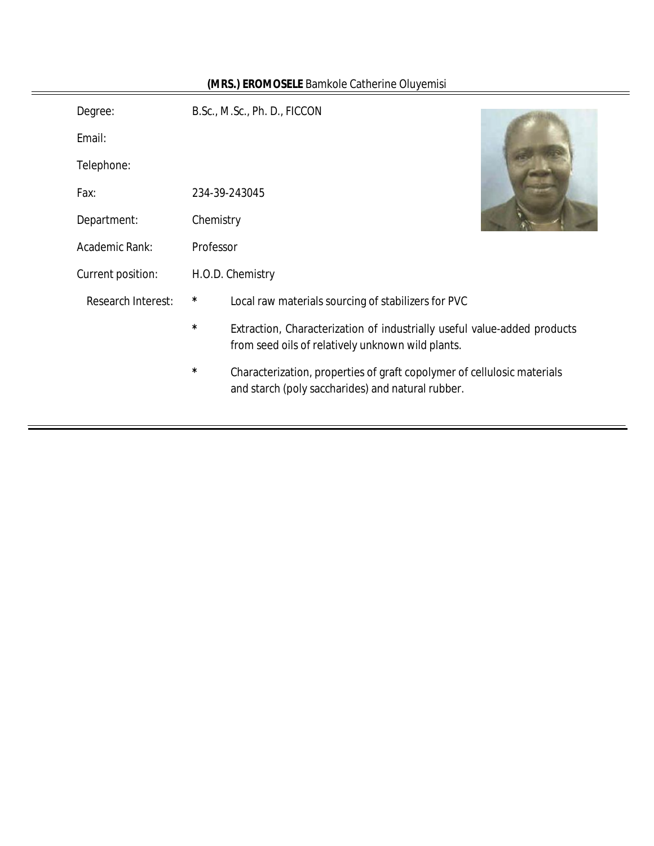| Degree:                   |           | B.Sc., M.Sc., Ph. D., FICCON                                                                                                  |  |
|---------------------------|-----------|-------------------------------------------------------------------------------------------------------------------------------|--|
| Email:                    |           |                                                                                                                               |  |
| Telephone:                |           |                                                                                                                               |  |
| Fax:                      |           | 234-39-243045                                                                                                                 |  |
| Department:               | Chemistry |                                                                                                                               |  |
| Academic Rank:            | Professor |                                                                                                                               |  |
| Current position:         |           | H.O.D. Chemistry                                                                                                              |  |
| <b>Research Interest:</b> | *         | Local raw materials sourcing of stabilizers for PVC                                                                           |  |
|                           | $^\star$  | Extraction, Characterization of industrially useful value-added products<br>from seed oils of relatively unknown wild plants. |  |
|                           | $^\star$  | Characterization, properties of graft copolymer of cellulosic materials<br>and starch (poly saccharides) and natural rubber.  |  |

# **(MRS.) EROMOSELE** Bamkole Catherine Oluyemisi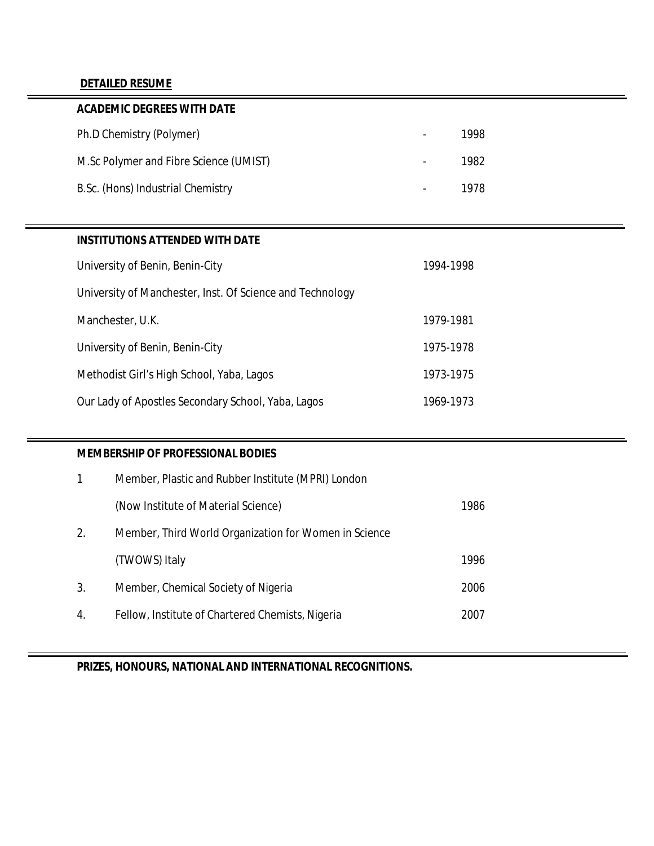# **DETAILED RESUME**

| <b>ACADEMIC DEGREES WITH DATE</b>      |                |      |
|----------------------------------------|----------------|------|
| Ph.D Chemistry (Polymer)               | -              | 1998 |
| M.Sc Polymer and Fibre Science (UMIST) |                | 1982 |
| B.Sc. (Hons) Industrial Chemistry      | $\blacksquare$ | 1978 |

# **INSTITUTIONS ATTENDED WITH DATE**

| University of Benin, Benin-City                           | 1994-1998 |
|-----------------------------------------------------------|-----------|
| University of Manchester, Inst. Of Science and Technology |           |
| Manchester, U.K.                                          | 1979-1981 |
| University of Benin, Benin-City                           | 1975-1978 |
| Methodist Girl's High School, Yaba, Lagos                 | 1973-1975 |
| Our Lady of Apostles Secondary School, Yaba, Lagos        | 1969-1973 |

## **MEMBERSHIP OF PROFESSIONAL BODIES**

|    | Member, Plastic and Rubber Institute (MPRI) London    |      |  |  |  |
|----|-------------------------------------------------------|------|--|--|--|
|    | (Now Institute of Material Science)                   | 1986 |  |  |  |
| 2. | Member, Third World Organization for Women in Science |      |  |  |  |
|    | (TWOWS) Italy                                         | 1996 |  |  |  |
| 3. | Member, Chemical Society of Nigeria                   | 2006 |  |  |  |
| 4. | Fellow, Institute of Chartered Chemists, Nigeria      | 2007 |  |  |  |

**PRIZES, HONOURS, NATIONAL AND INTERNATIONAL RECOGNITIONS.**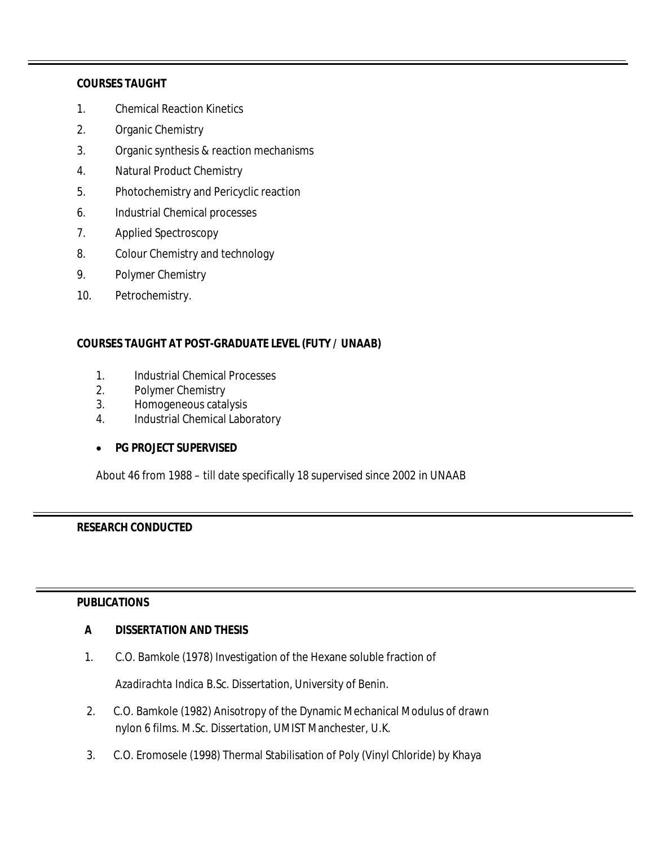#### **COURSES TAUGHT**

- 1. Chemical Reaction Kinetics
- 2. Organic Chemistry
- 3. Organic synthesis & reaction mechanisms
- 4. Natural Product Chemistry
- 5. Photochemistry and Pericyclic reaction
- 6. Industrial Chemical processes
- 7. Applied Spectroscopy
- 8. Colour Chemistry and technology
- 9. Polymer Chemistry
- 10. Petrochemistry.

## **COURSES TAUGHT AT POST-GRADUATE LEVEL (FUTY / UNAAB)**

- 1. Industrial Chemical Processes
- 2. Polymer Chemistry
- 3. Homogeneous catalysis
- 4. Industrial Chemical Laboratory

#### **PG PROJECT SUPERVISED**

About 46 from 1988 – till date specifically 18 supervised since 2002 in UNAAB

# **RESEARCH CONDUCTED**

## **PUBLICATIONS**

#### **A DISSERTATION AND THESIS**

1. C.O. Bamkole (1978) Investigation of the Hexane soluble fraction of

*Azadirachta Indica* B.Sc. Dissertation, University of Benin.

- 2. C.O. Bamkole (1982) Anisotropy of the Dynamic Mechanical Modulus of drawn nylon 6 films. M.Sc. Dissertation, UMIST Manchester, U.K.
- 3. C.O. Eromosele (1998) Thermal Stabilisation of Poly (Vinyl Chloride) by *Khaya*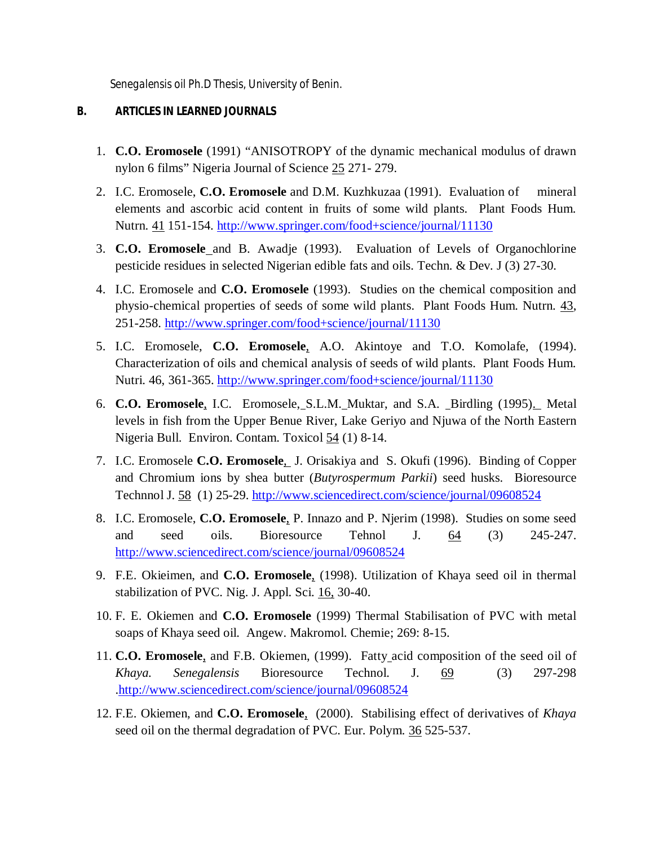*Senegalensis* oil Ph.D Thesis, University of Benin.

### **B. ARTICLES IN LEARNED JOURNALS**

- 1. **C.O. Eromosele** (1991) "ANISOTROPY of the dynamic mechanical modulus of drawn nylon 6 films" Nigeria Journal of Science 25 271- 279.
- 2. I.C. Eromosele, **C.O. Eromosele** and D.M. Kuzhkuzaa (1991). Evaluation of mineral elements and ascorbic acid content in fruits of some wild plants. Plant Foods Hum. Nutrn. 41 151-154. http://www.springer.com/food+science/journal/11130
- 3. **C.O. Eromosele** and B. Awadje (1993). Evaluation of Levels of Organochlorine pesticide residues in selected Nigerian edible fats and oils. Techn. & Dev. J (3) 27-30.
- 4. I.C. Eromosele and **C.O. Eromosele** (1993). Studies on the chemical composition and physio-chemical properties of seeds of some wild plants. Plant Foods Hum. Nutrn. 43, 251-258. http://www.springer.com/food+science/journal/11130
- 5. I.C. Eromosele, **C.O. Eromosele**, A.O. Akintoye and T.O. Komolafe, (1994). Characterization of oils and chemical analysis of seeds of wild plants. Plant Foods Hum. Nutri. 46, 361-365. http://www.springer.com/food+science/journal/11130
- 6. **C.O. Eromosele**, I.C. Eromosele, S.L.M. Muktar, and S.A. Birdling (1995). Metal levels in fish from the Upper Benue River, Lake Geriyo and Njuwa of the North Eastern Nigeria Bull. Environ. Contam. Toxicol 54 (1) 8-14.
- 7. I.C. Eromosele **C.O. Eromosele**, J. Orisakiya and S. Okufi (1996). Binding of Copper and Chromium ions by shea butter (*Butyrospermum Parkii*) seed husks. Bioresource Technnol J. 58 (1) 25-29. http://www.sciencedirect.com/science/journal/09608524
- 8. I.C. Eromosele, **C.O. Eromosele**, P. Innazo and P. Njerim (1998). Studies on some seed and seed oils. Bioresource Tehnol J. 64 (3) 245-247. http://www.sciencedirect.com/science/journal/09608524
- 9. F.E. Okieimen, and **C.O. Eromosele**, (1998). Utilization of Khaya seed oil in thermal stabilization of PVC. Nig. J. Appl. Sci. 16, 30-40.
- 10. F. E. Okiemen and **C.O. Eromosele** (1999) Thermal Stabilisation of PVC with metal soaps of Khaya seed oil. Angew. Makromol. Chemie; 269: 8-15.
- 11. **C.O. Eromosele**, and F.B. Okiemen, (1999). Fatty acid composition of the seed oil of *Khaya. Senegalensis* Bioresource Technol. J. 69 (3) 297-298 .http://www.sciencedirect.com/science/journal/09608524
- 12. F.E. Okiemen, and **C.O. Eromosele**, (2000). Stabilising effect of derivatives of *Khaya* seed oil on the thermal degradation of PVC. Eur. Polym. 36 525-537.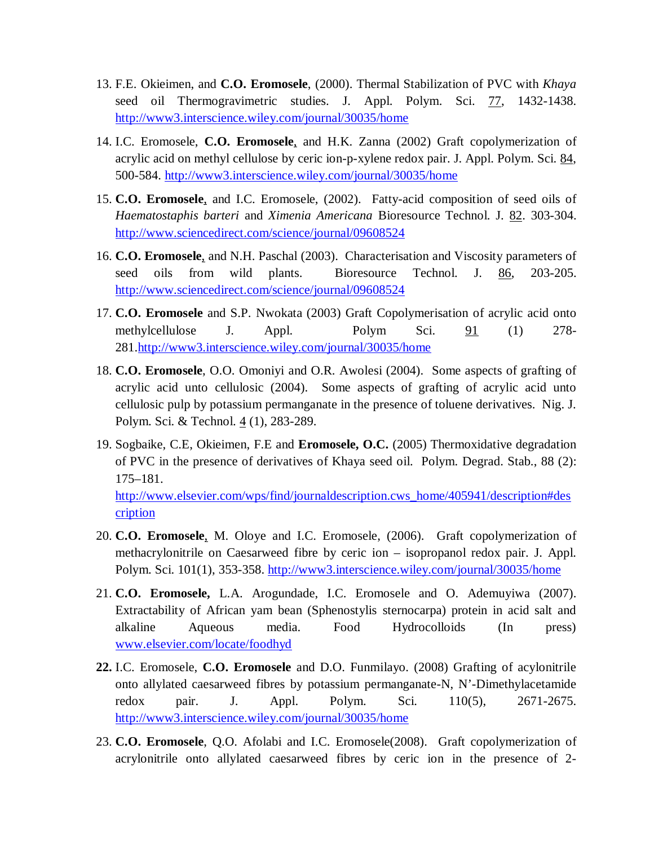- 13. F.E. Okieimen, and **C.O. Eromosele**, (2000). Thermal Stabilization of PVC with *Khaya*  seed oil Thermogravimetric studies. J. Appl. Polym. Sci. 77, 1432-1438. http://www3.interscience.wiley.com/journal/30035/home
- 14. I.C. Eromosele, **C.O. Eromosele**, and H.K. Zanna (2002) Graft copolymerization of acrylic acid on methyl cellulose by ceric ion-p-xylene redox pair. J. Appl. Polym. Sci. 84, 500-584. http://www3.interscience.wiley.com/journal/30035/home
- 15. **C.O. Eromosele**, and I.C. Eromosele, (2002). Fatty-acid composition of seed oils of *Haematostaphis barteri* and *Ximenia Americana* Bioresource Technol. J. 82. 303-304. http://www.sciencedirect.com/science/journal/09608524
- 16. **C.O. Eromosele**, and N.H. Paschal (2003). Characterisation and Viscosity parameters of seed oils from wild plants. Bioresource Technol. J. 86, 203-205. http://www.sciencedirect.com/science/journal/09608524
- 17. **C.O. Eromosele** and S.P. Nwokata (2003) Graft Copolymerisation of acrylic acid onto methylcellulose J. Appl. Polym Sci. 91 (1) 278- 281.http://www3.interscience.wiley.com/journal/30035/home
- 18. **C.O. Eromosele**, O.O. Omoniyi and O.R. Awolesi (2004). Some aspects of grafting of acrylic acid unto cellulosic (2004). Some aspects of grafting of acrylic acid unto cellulosic pulp by potassium permanganate in the presence of toluene derivatives. Nig. J. Polym. Sci. & Technol. 4 (1), 283-289.
- 19. Sogbaike, C.E, Okieimen, F.E and **Eromosele, O.C.** (2005) Thermoxidative degradation of PVC in the presence of derivatives of Khaya seed oil. Polym. Degrad. Stab., 88 (2): 175–181.

http://www.elsevier.com/wps/find/journaldescription.cws\_home/405941/description#des cription

- 20. **C.O. Eromosele**, M. Oloye and I.C. Eromosele, (2006). Graft copolymerization of methacrylonitrile on Caesarweed fibre by ceric ion – isopropanol redox pair. J. Appl. Polym. Sci. 101(1), 353-358. http://www3.interscience.wiley.com/journal/30035/home
- 21. **C.O. Eromosele,** L.A. Arogundade, I.C. Eromosele and O. Ademuyiwa (2007). Extractability of African yam bean (Sphenostylis sternocarpa) protein in acid salt and alkaline Aqueous media. Food Hydrocolloids (In press) www.elsevier.com/locate/foodhyd
- **22.** I.C. Eromosele, **C.O. Eromosele** and D.O. Funmilayo. (2008) Grafting of acylonitrile onto allylated caesarweed fibres by potassium permanganate-N, N'-Dimethylacetamide redox pair. J. Appl. Polym. Sci. 110(5), 2671-2675. http://www3.interscience.wiley.com/journal/30035/home
- 23. **C.O. Eromosele**, Q.O. Afolabi and I.C. Eromosele(2008). Graft copolymerization of acrylonitrile onto allylated caesarweed fibres by ceric ion in the presence of 2-